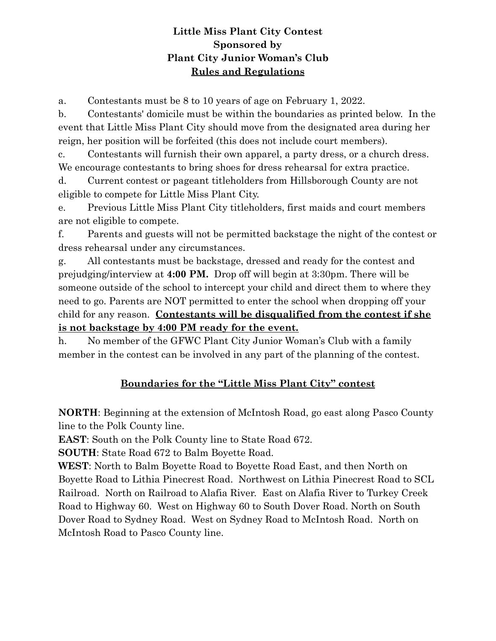## **Little Miss Plant City Contest Sponsored by Plant City Junior Woman's Club Rules and Regulations**

a. Contestants must be 8 to 10 years of age on February 1, 2022.

b. Contestants' domicile must be within the boundaries as printed below. In the event that Little Miss Plant City should move from the designated area during her reign, her position will be forfeited (this does not include court members).

c. Contestants will furnish their own apparel, a party dress, or a church dress. We encourage contestants to bring shoes for dress rehearsal for extra practice.

d. Current contest or pageant titleholders from Hillsborough County are not eligible to compete for Little Miss Plant City.

e. Previous Little Miss Plant City titleholders, first maids and court members are not eligible to compete.

f. Parents and guests will not be permitted backstage the night of the contest or dress rehearsal under any circumstances.

g. All contestants must be backstage, dressed and ready for the contest and prejudging/interview at **4:00 PM.** Drop off will begin at 3:30pm. There will be someone outside of the school to intercept your child and direct them to where they need to go. Parents are NOT permitted to enter the school when dropping off your child for any reason. **Contestants will be disqualified from the contest if she is not backstage by 4:00 PM ready for the event.**

h. No member of the GFWC Plant City Junior Woman's Club with a family member in the contest can be involved in any part of the planning of the contest.

## **Boundaries for the "Little Miss Plant City" contest**

**NORTH**: Beginning at the extension of McIntosh Road, go east along Pasco County line to the Polk County line.

**EAST**: South on the Polk County line to State Road 672.

**SOUTH**: State Road 672 to Balm Boyette Road.

**WEST**: North to Balm Boyette Road to Boyette Road East, and then North on Boyette Road to Lithia Pinecrest Road. Northwest on Lithia Pinecrest Road to SCL Railroad. North on Railroad to Alafia River. East on Alafia River to Turkey Creek Road to Highway 60. West on Highway 60 to South Dover Road. North on South Dover Road to Sydney Road. West on Sydney Road to McIntosh Road. North on McIntosh Road to Pasco County line.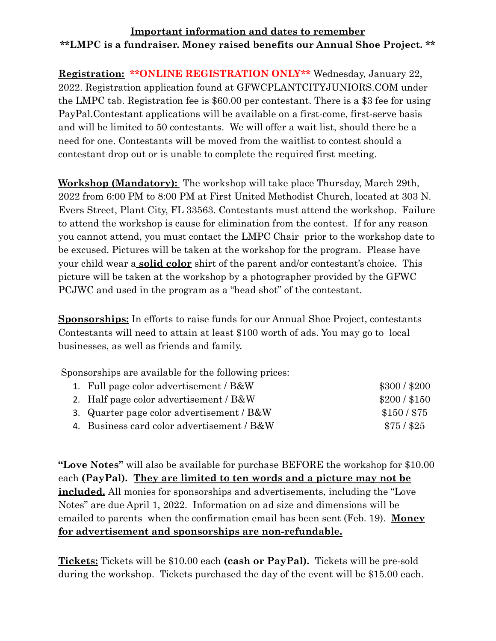## **Important information and dates to remember \*\*LMPC is a fundraiser. Money raised benefits our Annual Shoe Project. \*\***

**Registration: \*\*ONLINE REGISTRATION ONLY\*\*** Wednesday, January 22, 2022. Registration application found at GFWCPLANTCITYJUNIORS.COM under the LMPC tab. Registration fee is \$60.00 per contestant. There is a \$3 fee for using PayPal.Contestant applications will be available on a first-come, first-serve basis and will be limited to 50 contestants. We will offer a wait list, should there be a need for one. Contestants will be moved from the waitlist to contest should a contestant drop out or is unable to complete the required first meeting.

**Workshop (Mandatory):** The workshop will take place Thursday, March 29th, 2022 from 6:00 PM to 8:00 PM at First United Methodist Church, located at 303 N. Evers Street, Plant City, FL 33563. Contestants must attend the workshop. Failure to attend the workshop is cause for elimination from the contest. If for any reason you cannot attend, you must contact the LMPC Chair prior to the workshop date to be excused. Pictures will be taken at the workshop for the program. Please have your child wear a **solid color** shirt of the parent and/or contestant's choice. This picture will be taken at the workshop by a photographer provided by the GFWC PCJWC and used in the program as a "head shot" of the contestant.

**Sponsorships:** In efforts to raise funds for our Annual Shoe Project, contestants Contestants will need to attain at least \$100 worth of ads. You may go to local businesses, as well as friends and family.

Sponsorships are available for the following prices:

| 1. Full page color advertisement / B&W     | \$300 / \$200 |
|--------------------------------------------|---------------|
| 2. Half page color advertisement / B&W     | \$200 / \$150 |
| 3. Quarter page color advertisement / B&W  | $$150/$ \$75  |
| 4. Business card color advertisement / B&W | $$75/$ \$25   |

**"Love Notes"** will also be available for purchase BEFORE the workshop for \$10.00 each **(PayPal). They are limited to ten words and a picture may not be included.** All monies for sponsorships and advertisements, including the "Love Notes" are due April 1, 2022. Information on ad size and dimensions will be emailed to parents when the confirmation email has been sent (Feb. 19). **Money for advertisement and sponsorships are non-refundable.**

**Tickets:** Tickets will be \$10.00 each **(cash or PayPal).** Tickets will be pre-sold during the workshop. Tickets purchased the day of the event will be \$15.00 each.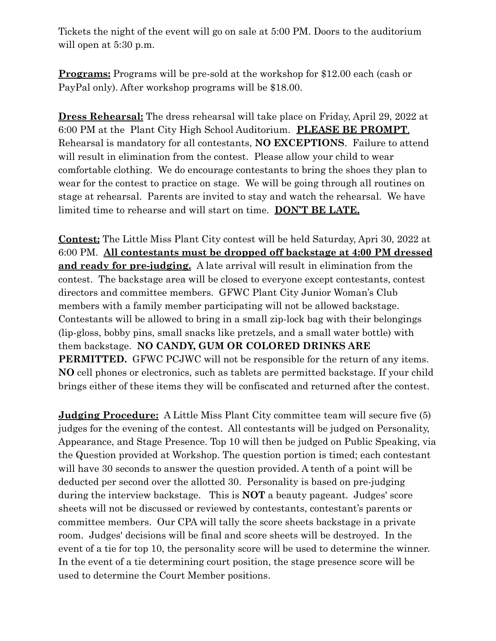Tickets the night of the event will go on sale at 5:00 PM. Doors to the auditorium will open at 5:30 p.m.

**Programs:** Programs will be pre-sold at the workshop for \$12.00 each (cash or PayPal only). After workshop programs will be \$18.00.

**Dress Rehearsal:** The dress rehearsal will take place on Friday, April 29, 2022 at 6:00 PM at the Plant City High School Auditorium. **PLEASE BE PROMPT**. Rehearsal is mandatory for all contestants, **NO EXCEPTIONS**. Failure to attend will result in elimination from the contest. Please allow your child to wear comfortable clothing. We do encourage contestants to bring the shoes they plan to wear for the contest to practice on stage. We will be going through all routines on stage at rehearsal. Parents are invited to stay and watch the rehearsal. We have limited time to rehearse and will start on time. **DON'T BE LATE.**

**Contest:** The Little Miss Plant City contest will be held Saturday, Apri 30, 2022 at 6:00 PM. **All contestants must be dropped off backstage at 4:00 PM dressed and ready for pre-judging.** A late arrival will result in elimination from the contest. The backstage area will be closed to everyone except contestants, contest directors and committee members. GFWC Plant City Junior Woman's Club members with a family member participating will not be allowed backstage. Contestants will be allowed to bring in a small zip-lock bag with their belongings (lip-gloss, bobby pins, small snacks like pretzels, and a small water bottle) with them backstage. **NO CANDY, GUM OR COLORED DRINKS ARE PERMITTED.** GFWC PCJWC will not be responsible for the return of any items. **NO** cell phones or electronics, such as tablets are permitted backstage. If your child brings either of these items they will be confiscated and returned after the contest.

**Judging Procedure:** A Little Miss Plant City committee team will secure five (5) judges for the evening of the contest. All contestants will be judged on Personality, Appearance, and Stage Presence. Top 10 will then be judged on Public Speaking, via the Question provided at Workshop. The question portion is timed; each contestant will have 30 seconds to answer the question provided. A tenth of a point will be deducted per second over the allotted 30. Personality is based on pre-judging during the interview backstage. This is **NOT** a beauty pageant. Judges' score sheets will not be discussed or reviewed by contestants, contestant's parents or committee members. Our CPA will tally the score sheets backstage in a private room. Judges' decisions will be final and score sheets will be destroyed. In the event of a tie for top 10, the personality score will be used to determine the winner. In the event of a tie determining court position, the stage presence score will be used to determine the Court Member positions.